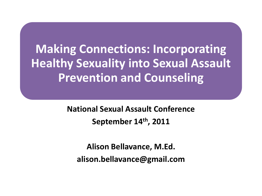**Making Connections: Incorporating Healthy Sexuality into Sexual Assault Prevention and Counseling**

> **National Sexual Assault Conference September 14th , 2011**

**Alison Bellavance, M.Ed. alison.bellavance@gmail.com**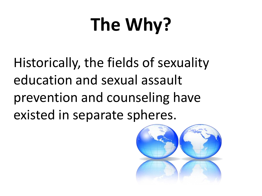# **The Why?**

Historically, the fields of sexuality education and sexual assault prevention and counseling have existed in separate spheres.

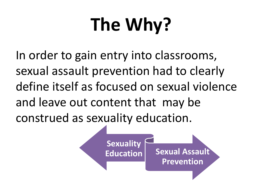# **The Why?**

In order to gain entry into classrooms, sexual assault prevention had to clearly define itself as focused on sexual violence and leave out content that may be construed as sexuality education.

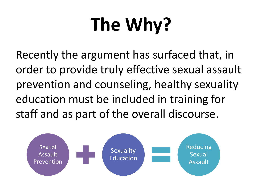# **The Why?**

Recently the argument has surfaced that, in order to provide truly effective sexual assault prevention and counseling, healthy sexuality education must be included in training for staff and as part of the overall discourse.

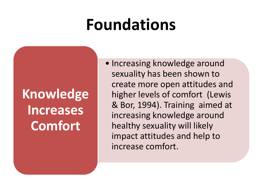#### **Foundations**

**Knowledge Increases Comfort**

• Increasing knowledge around sexuality has been shown to create more open attitudes and higher levels of comfort (Lewis & Bor, 1994). Training aimed at increasing knowledge around healthy sexuality will likely impact attitudes and help to increase comfort.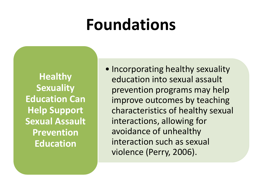#### **Foundations**

**Healthy Sexuality Education Can Help Support Sexual Assault Prevention Education**

• Incorporating healthy sexuality education into sexual assault prevention programs may help improve outcomes by teaching characteristics of healthy sexual interactions, allowing for avoidance of unhealthy interaction such as sexual violence (Perry, 2006).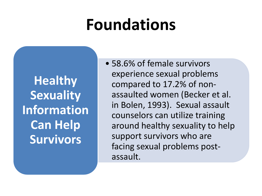#### **Foundations**

**Healthy Sexuality Information Can Help Survivors**

• 58.6% of female survivors experience sexual problems compared to 17.2% of nonassaulted women (Becker et al. in Bolen, 1993). Sexual assault counselors can utilize training around healthy sexuality to help support survivors who are facing sexual problems postassault.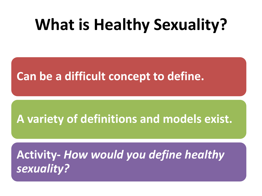#### **What is Healthy Sexuality?**

**Can be a difficult concept to define.** 

#### **A variety of definitions and models exist.**

**Activity-** *How would you define healthy sexuality?*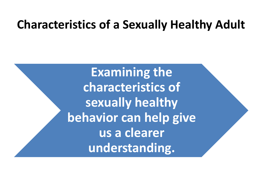#### **Characteristics of a Sexually Healthy Adult**

**Examining the characteristics of sexually healthy behavior can help give us a clearer understanding.**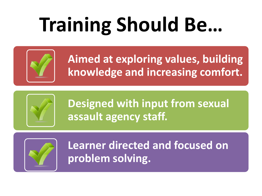# **Training Should Be…**



**Aimed at exploring values, building knowledge and increasing comfort.**



**Designed with input from sexual assault agency staff.**



**Learner directed and focused on problem solving.**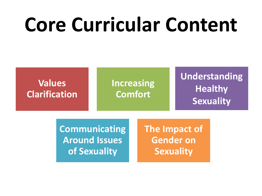### **Core Curricular Content**



**Communicating Around Issues of Sexuality**

**The Impact of Gender on Sexuality**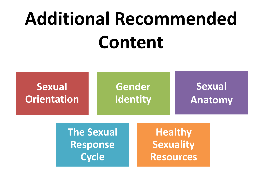# **Additional Recommended Content**

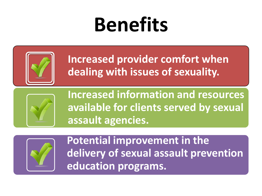## **Benefits**



**Increased provider comfort when dealing with issues of sexuality.**



**Increased information and resources available for clients served by sexual assault agencies.**



**Potential improvement in the delivery of sexual assault prevention education programs.**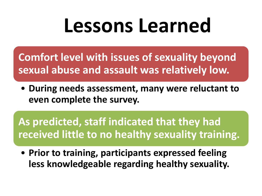### **Lessons Learned**

**Comfort level with issues of sexuality beyond sexual abuse and assault was relatively low.**

• **During needs assessment, many were reluctant to even complete the survey.**

**As predicted, staff indicated that they had received little to no healthy sexuality training.** 

• **Prior to training, participants expressed feeling less knowledgeable regarding healthy sexuality.**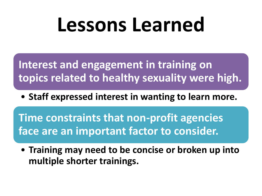### **Lessons Learned**

**Interest and engagement in training on topics related to healthy sexuality were high.**

• **Staff expressed interest in wanting to learn more.**

**Time constraints that non-profit agencies face are an important factor to consider.**

• **Training may need to be concise or broken up into multiple shorter trainings.**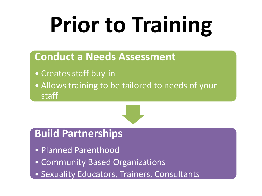# **Prior to Training**

#### **Conduct a Needs Assessment**

- Creates staff buy-in
- Allows training to be tailored to needs of your staff



#### **Build Partnerships**

- Planned Parenthood
- Community Based Organizations
- Sexuality Educators, Trainers, Consultants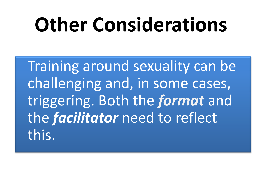# **Other Considerations**

Training around sexuality can be challenging and, in some cases, triggering. Both the *format* and the *facilitator* need to reflect this.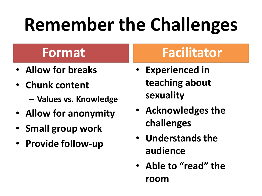## **Remember the Challenges**

#### **Format**

- **Allow for breaks**
- **Chunk content**
	- **Values vs. Knowledge**
- **Allow for anonymity**
- **Small group work**
- **Provide follow-up**

#### **Facilitator**

- **Experienced in teaching about sexuality**
- **Acknowledges the challenges**
- **Understands the audience**
- **Able to "read" the room**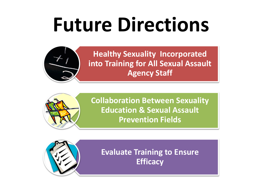# **Future Directions**



**Healthy Sexuality Incorporated into Training for All Sexual Assault Agency Staff**



**Collaboration Between Sexuality Education & Sexual Assault Prevention Fields** 

**Evaluate Training to Ensure Efficacy**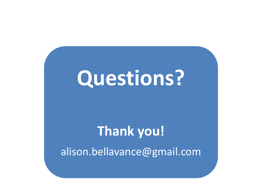### **Questions?**

#### **Thank you!**

alison.bellavance@gmail.com